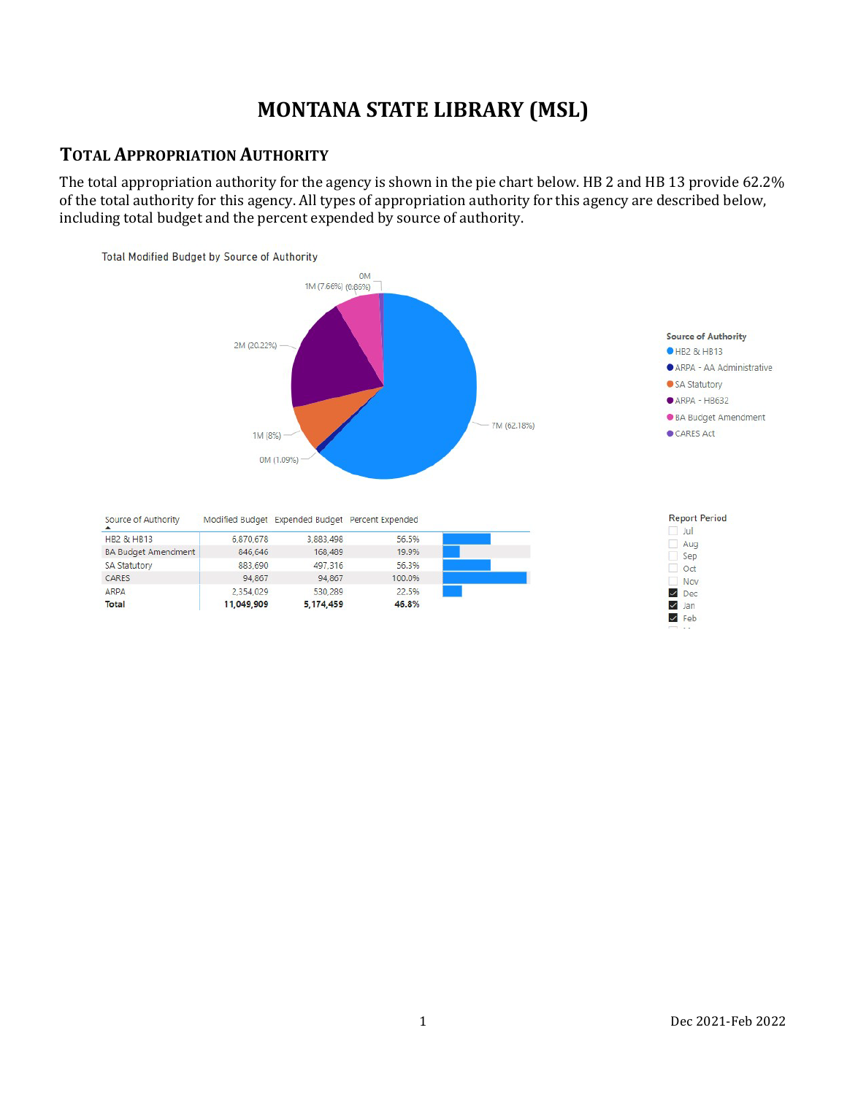# **MONTANA STATE LIBRARY (MSL)**

### **TOTAL APPROPRIATION AUTHORITY**

The total appropriation authority for the agency is shown in the pie chart below. HB 2 and HB 13 provide 62.2% of the total authority for this agency. All types of appropriation authority for this agency are described below, including total budget and the percent expended by source of authority.



| Source of Authority | Modified Budget Expended Budget Percent Expended |  |
|---------------------|--------------------------------------------------|--|

| <b>Report Period</b> |
|----------------------|
| Jul                  |
| Aug                  |
| Sep                  |
| Oct                  |
| Nov                  |
| Dec                  |
| Jan                  |
| Feb                  |
|                      |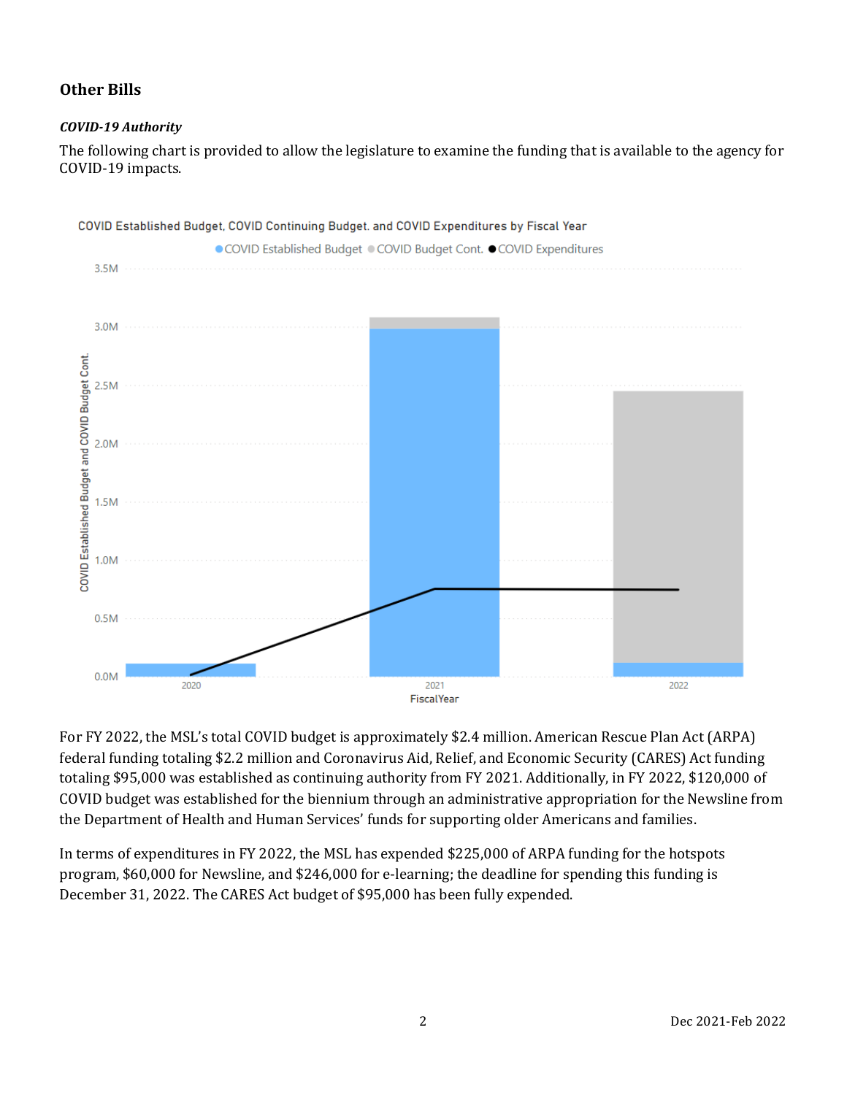#### **Other Bills**

#### *COVID-19 Authority*

The following chart is provided to allow the legislature to examine the funding that is available to the agency for COVID-19 impacts.



For FY 2022, the MSL's total COVID budget is approximately \$2.4 million. American Rescue Plan Act (ARPA) federal funding totaling \$2.2 million and Coronavirus Aid, Relief, and Economic Security (CARES) Act funding totaling \$95,000 was established as continuing authority from FY 2021. Additionally, in FY 2022, \$120,000 of COVID budget was established for the biennium through an administrative appropriation for the Newsline from the Department of Health and Human Services' funds for supporting older Americans and families.

In terms of expenditures in FY 2022, the MSL has expended \$225,000 of ARPA funding for the hotspots program, \$60,000 for Newsline, and \$246,000 for e-learning; the deadline for spending this funding is December 31, 2022. The CARES Act budget of \$95,000 has been fully expended.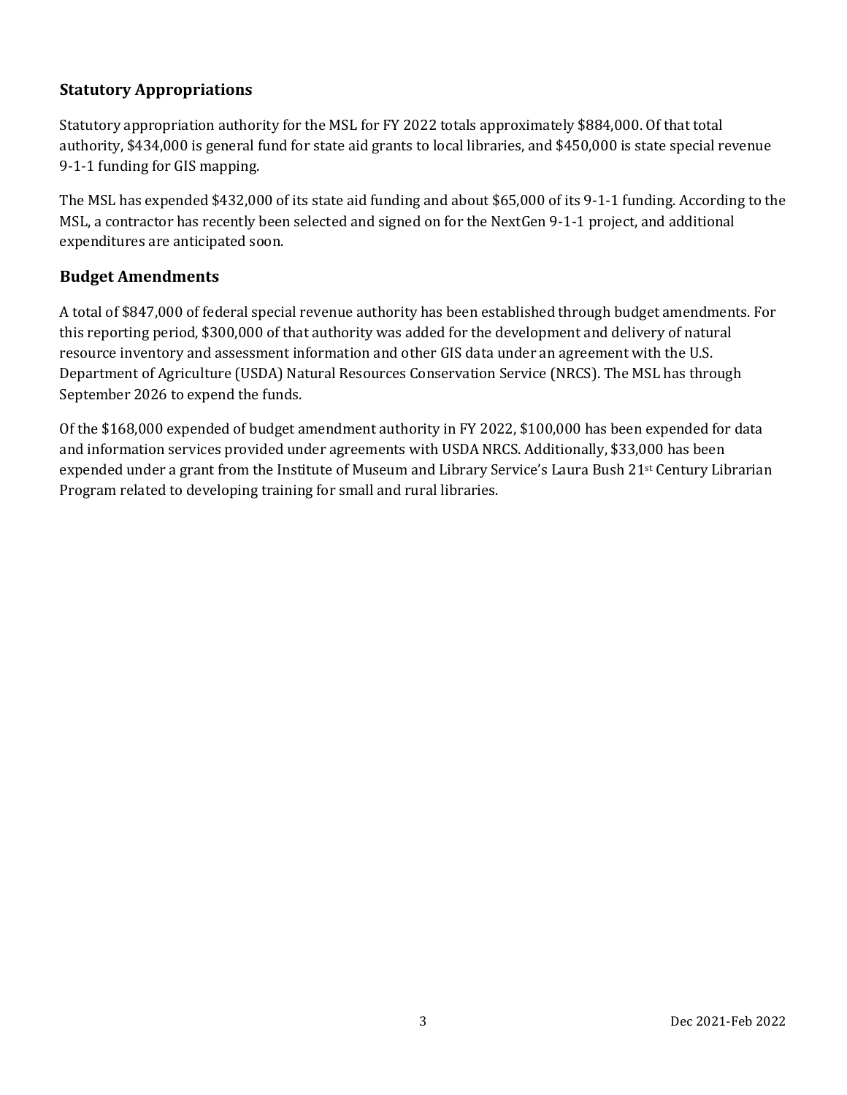#### **Statutory Appropriations**

Statutory appropriation authority for the MSL for FY 2022 totals approximately \$884,000. Of that total authority, \$434,000 is general fund for state aid grants to local libraries, and \$450,000 is state special revenue 9-1-1 funding for GIS mapping.

The MSL has expended \$432,000 of its state aid funding and about \$65,000 of its 9-1-1 funding. According to the MSL, a contractor has recently been selected and signed on for the NextGen 9-1-1 project, and additional expenditures are anticipated soon.

#### **Budget Amendments**

A total of \$847,000 of federal special revenue authority has been established through budget amendments. For this reporting period, \$300,000 of that authority was added for the development and delivery of natural resource inventory and assessment information and other GIS data under an agreement with the U.S. Department of Agriculture (USDA) Natural Resources Conservation Service (NRCS). The MSL has through September 2026 to expend the funds.

Of the \$168,000 expended of budget amendment authority in FY 2022, \$100,000 has been expended for data and information services provided under agreements with USDA NRCS. Additionally, \$33,000 has been expended under a grant from the Institute of Museum and Library Service's Laura Bush 21<sup>st</sup> Century Librarian Program related to developing training for small and rural libraries.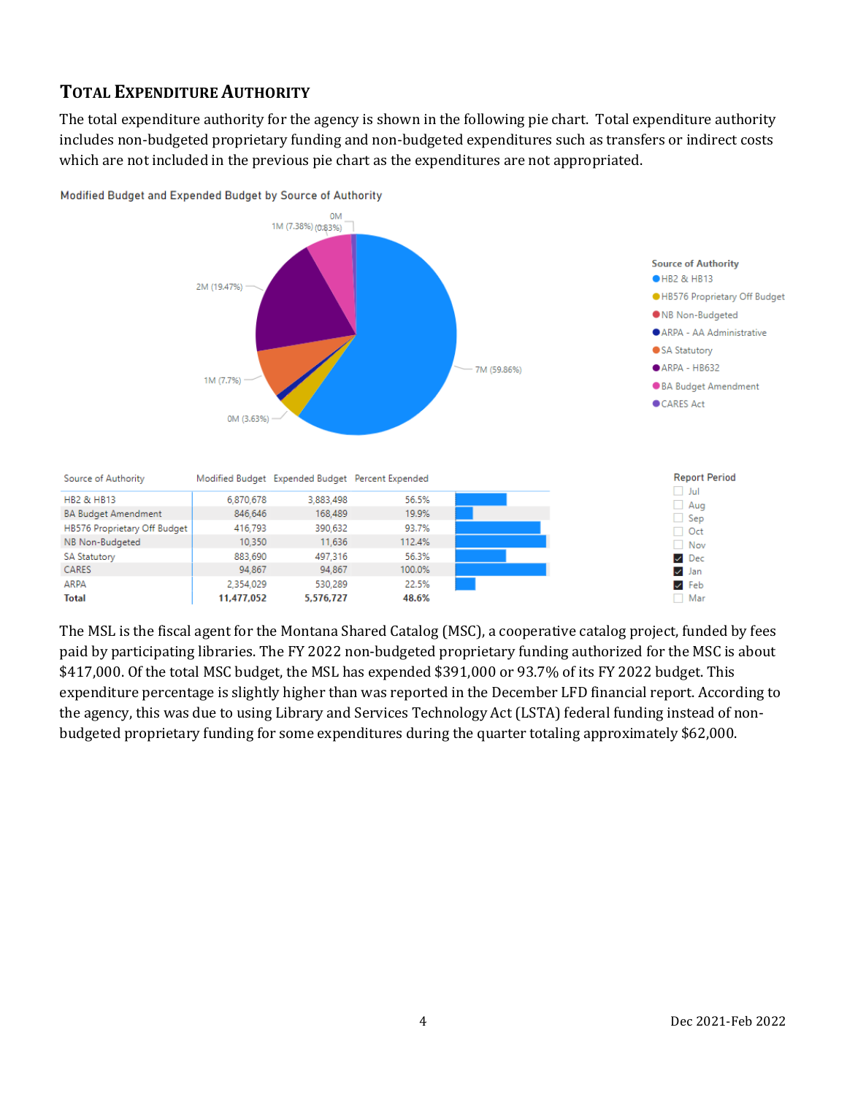## **TOTAL EXPENDITURE AUTHORITY**

ARPA

**Total** 

The total expenditure authority for the agency is shown in the following pie chart. Total expenditure authority includes non-budgeted proprietary funding and non-budgeted expenditures such as transfers or indirect costs which are not included in the previous pie chart as the expenditures are not appropriated.



Modified Budget and Expended Budget by Source of Authority

The MSL is the fiscal agent for the Montana Shared Catalog (MSC), a cooperative catalog project, funded by fees paid by participating libraries. The FY 2022 non-budgeted proprietary funding authorized for the MSC is about \$417,000. Of the total MSC budget, the MSL has expended \$391,000 or 93.7% of its FY 2022 budget. This expenditure percentage is slightly higher than was reported in the December LFD financial report. According to the agency, this was due to using Library and Services Technology Act (LSTA) federal funding instead of nonbudgeted proprietary funding for some expenditures during the quarter totaling approximately \$62,000.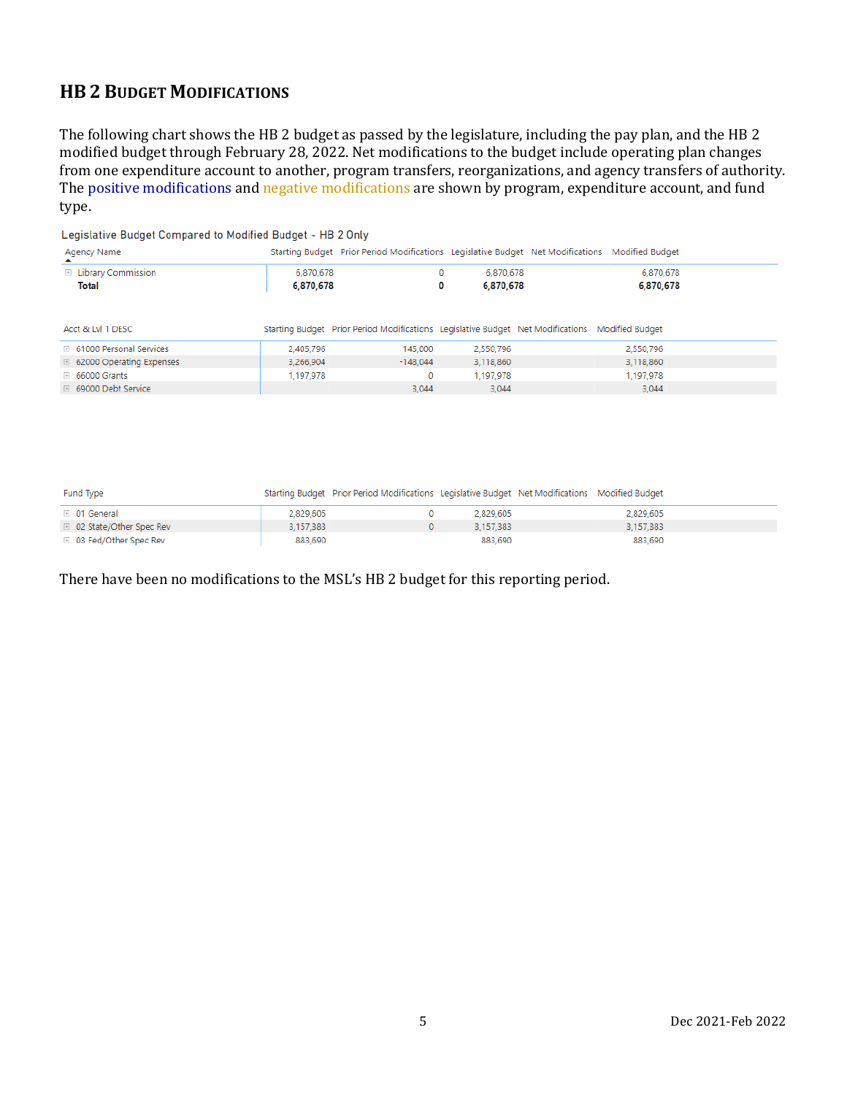### **HB 2 BUDGET MODIFICATIONS**

The following chart shows the HB 2 budget as passed by the legislature, including the pay plan, and the HB 2 modified budget through February 28, 2022. Net modifications to the budget include operating plan changes from one expenditure account to another, program transfers, reorganizations, and agency transfers of authority. The positive modifications and negative modifications are shown by program, expenditure account, and fund type.

| Legislative Budget Compared to Modified Budget - HB 2 Only |                        |            |                                  |                                                                                                 |  |
|------------------------------------------------------------|------------------------|------------|----------------------------------|-------------------------------------------------------------------------------------------------|--|
| Agency Name                                                |                        |            |                                  | Starting Budget Prior Period Modifications Legislative Budget Net Modifications Modified Budget |  |
| $\boxplus$ Library Commission<br><b>Total</b>              | 6,870,678<br>6,870,678 |            | 6.870.678<br>0<br>6,870,678<br>0 | 6.870.678<br>6,870,678                                                                          |  |
|                                                            |                        |            |                                  |                                                                                                 |  |
| Acct & Lvl 1 DESC                                          |                        |            |                                  | Starting Budget Prior Period Modifications Legislative Budget Net Modifications Modified Budget |  |
| ⊞ 61000 Personal Services                                  | 2,405,796              | 145,000    | 2.550.796                        | 2,550,796                                                                                       |  |
| □ 62000 Operating Expenses                                 | 3,266,904              | $-148.044$ | 3,118,860                        | 3,118,860                                                                                       |  |
| ⊞ 66000 Grants                                             | 1,197,978              | 0          | 1,197,978                        | 1,197,978                                                                                       |  |

| Fund Type                 |           | Starting Budget Prior Period Modifications Legislative Budget Net Modifications Modified Budget |           |           |  |
|---------------------------|-----------|-------------------------------------------------------------------------------------------------|-----------|-----------|--|
| ⊞ 01 General              | 2,829,605 |                                                                                                 | 2.829.605 | 2,829,605 |  |
| ⊞ 02 State/Other Spec Rev | 3.157.383 |                                                                                                 | 3.157.383 | 3.157.383 |  |
| ⊞ 03 Fed/Other Spec Rev   | 883,690   |                                                                                                 | 883,690   | 883,690   |  |

There have been no modifications to the MSL's HB 2 budget for this reporting period.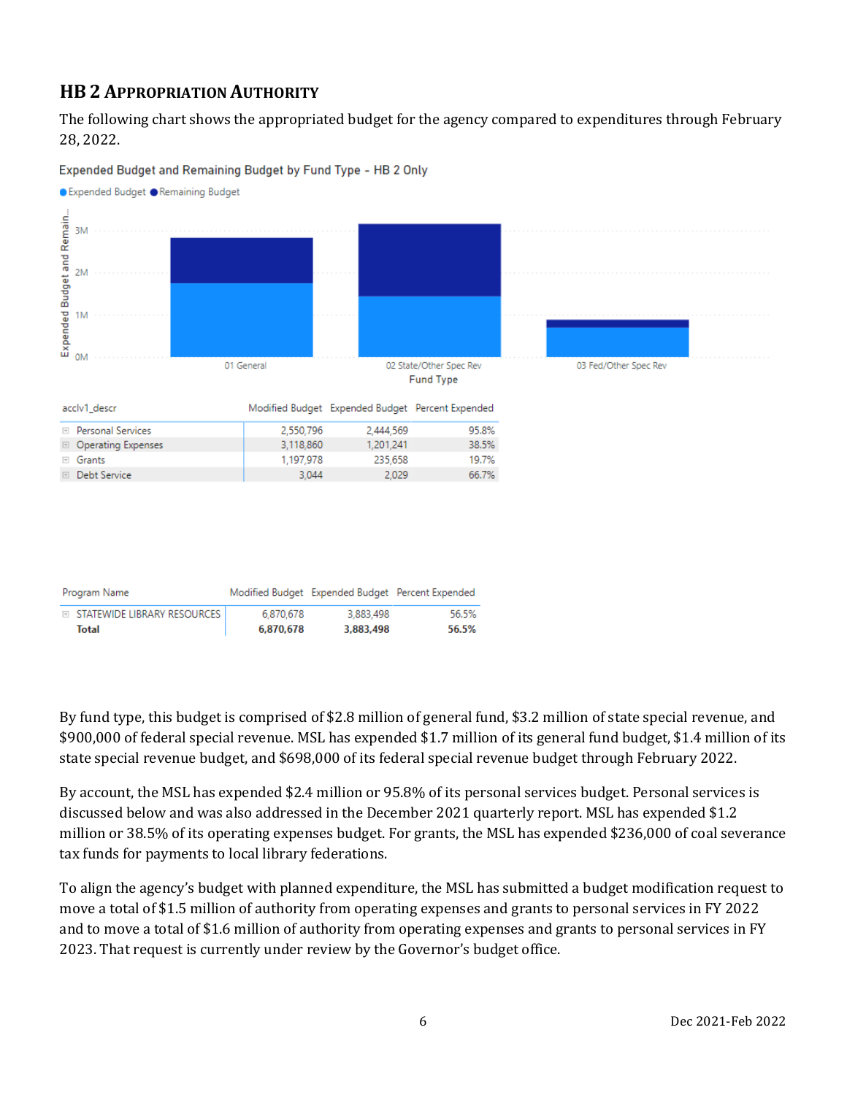## **HB 2 APPROPRIATION AUTHORITY**

The following chart shows the appropriated budget for the agency compared to expenditures through February 28, 2022.



Expended Budget and Remaining Budget by Fund Type - HB 2 Only

By fund type, this budget is comprised of \$2.8 million of general fund, \$3.2 million of state special revenue, and \$900,000 of federal special revenue. MSL has expended \$1.7 million of its general fund budget, \$1.4 million of its state special revenue budget, and \$698,000 of its federal special revenue budget through February 2022.

By account, the MSL has expended \$2.4 million or 95.8% of its personal services budget. Personal services is discussed below and was also addressed in the December 2021 quarterly report. MSL has expended \$1.2 million or 38.5% of its operating expenses budget. For grants, the MSL has expended \$236,000 of coal severance tax funds for payments to local library federations.

To align the agency's budget with planned expenditure, the MSL has submitted a budget modification request to move a total of \$1.5 million of authority from operating expenses and grants to personal services in FY 2022 and to move a total of \$1.6 million of authority from operating expenses and grants to personal services in FY 2023. That request is currently under review by the Governor's budget office.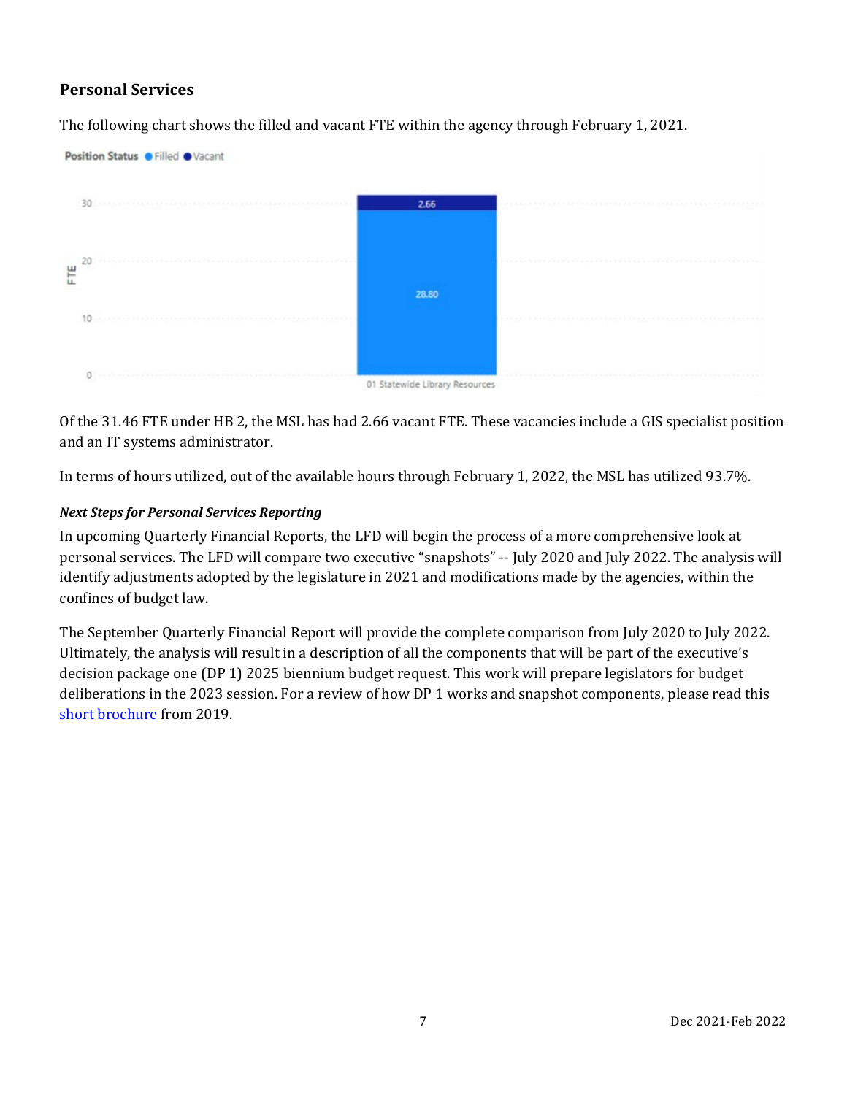#### **Personal Services**

The following chart shows the filled and vacant FTE within the agency through February 1, 2021.



Of the 31.46 FTE under HB 2, the MSL has had 2.66 vacant FTE. These vacancies include a GIS specialist position and an IT systems administrator.

In terms of hours utilized, out of the available hours through February 1, 2022, the MSL has utilized 93.7%.

#### *Next Steps for Personal Services Reporting*

In upcoming Quarterly Financial Reports, the LFD will begin the process of a more comprehensive look at personal services. The LFD will compare two executive "snapshots" -- July 2020 and July 2022. The analysis will identify adjustments adopted by the legislature in 2021 and modifications made by the agencies, within the confines of budget law.

The September Quarterly Financial Report will provide the complete comparison from July 2020 to July 2022. Ultimately, the analysis will result in a description of all the components that will be part of the executive's decision package one (DP 1) 2025 biennium budget request. This work will prepare legislators for budget deliberations in the 2023 session. For a review of how DP 1 works and snapshot components, please read this [short brochure](https://montana.maps.arcgis.com/apps/Cascade/index.html?appid=23095fcf15754f4fb38b63c58a884b97) from 2019.